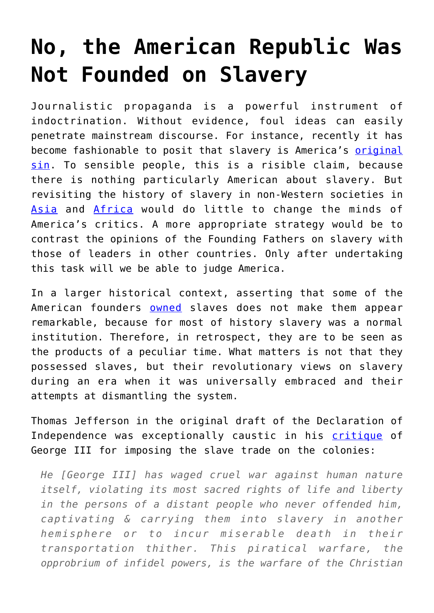## **[No, the American Republic Was](https://intellectualtakeout.org/2020/10/no-the-american-republic-was-not-founded-on-slavery/) [Not Founded on Slavery](https://intellectualtakeout.org/2020/10/no-the-american-republic-was-not-founded-on-slavery/)**

Journalistic propaganda is a powerful instrument of indoctrination. Without evidence, foul ideas can easily penetrate mainstream discourse. For instance, recently it has become fashionable to posit that slavery is America's **original** [sin.](https://www.opendemocracy.net/en/transformation/expiating-americas-original-sin/) To sensible people, this is a risible claim, because there is nothing particularly American about slavery. But revisiting the history of slavery in non-Western societies in [Asia](https://books.google.com.jm/books?id=EHKxM31e408C&pg=PA252&dq=the+early+chinese+empires+qin+and+han+slavery&hl=en&sa=X&ved=2ahUKEwjHwIrs677sAhWGhOAKHUg_CaoQ6AEwAHoECAMQAg#v=onepage&q=the%20early%20chinese%20empires%20qin%20and%20han%20slavery&f=false) and [Africa](https://books.google.com.jm/books?id=V4ZIL4BlVagC&printsec=frontcover&dq=slavery+in+africa&hl=en&sa=X&ved=2ahUKEwjXodib7L7sAhWETt8KHdUmC-MQ6AEwAHoECAEQAg#v=onepage&q=slavery%20in%20africa&f=false) would do little to change the minds of America's critics. A more appropriate strategy would be to contrast the opinions of the Founding Fathers on slavery with those of leaders in other countries. Only after undertaking this task will we be able to judge America.

In a larger historical context, asserting that some of the American founders **[owned](https://www.smithsonianmag.com/history/founding-fathers-and-slaveholders-72262393/)** slaves does not make them appear remarkable, because for most of history slavery was a normal institution. Therefore, in retrospect, they are to be seen as the products of a peculiar time. What matters is not that they possessed slaves, but their revolutionary views on slavery during an era when it was universally embraced and their attempts at dismantling the system.

Thomas Jefferson in the original draft of the Declaration of Independence was exceptionally caustic in his [critique](https://books.google.com.jm/books?id=Iry86J8v01AC&pg=PA210&dq=He+has+waged+cruel+war+against+human+nature+itself,+violating+its+most+sacred+rights+of+life+and+liberty+in+the+persons+of+a+distant+people+who+never+offended+him,+captivating+%26+carrying+them+into+slavery+in+another+hemisphere+or+to+incur+miserable+death+in+their+transportation+thither.+This+piratical+warfare,+the+opprobrium+of+infidel+powers,+is+the+warfare+of+the+Christian+King+of+Great+Britain.+Determined+to+keep+open+a+market+where+Men+should+be+bought+%26+sold,+he+has+prostituted+his+negative+for+suppressing+every+legislative+attempt+to+prohibit+or+restrain+this+execrable+commerce.+And+that+this+assemblage+of+horrors+might+want+no+fact+of+distinguished+die,+he+is+now+exciting+those+very+people+to+rise+in+arms+among+us,+and+to+purchase+that+liberty+of+which+he+has+deprived+them,+by+murdering+the+people+on+whom+he+has+obtruded+them:+thus+paying+off+former+crimes+committed+again+the+Liberties+of+one+people,+with+crimes+which+he+urges+them+to+commit+against+the+lives+of+another.%22&hl=en&sa=X&ved=2ahUKEwj23tPThr_sAhWjnuAKHSsbDTUQ6AEwA3oECAMQAg#v=onepage&q&f=false) of George III for imposing the slave trade on the colonies:

*He [George III] has waged cruel war against human nature itself, violating its most sacred rights of life and liberty in the persons of a distant people who never offended him, captivating & carrying them into slavery in another hemisphere or to incur miserable death in their transportation thither. This piratical warfare, the opprobrium of infidel powers, is the warfare of the Christian*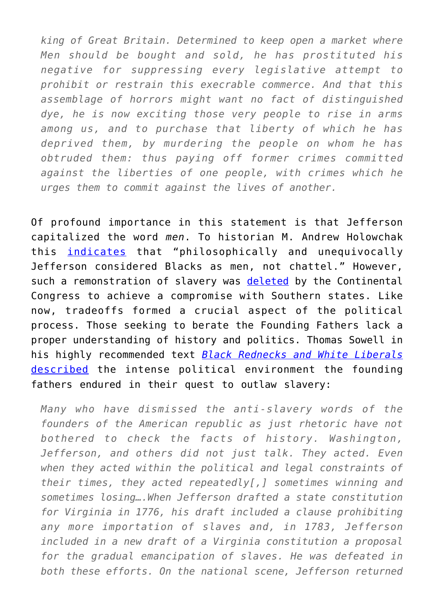*king of Great Britain. Determined to keep open a market where Men should be bought and sold, he has prostituted his negative for suppressing every legislative attempt to prohibit or restrain this execrable commerce. And that this assemblage of horrors might want no fact of distinguished dye, he is now exciting those very people to rise in arms among us, and to purchase that liberty of which he has deprived them, by murdering the people on whom he has obtruded them: thus paying off former crimes committed against the liberties of one people, with crimes which he urges them to commit against the lives of another.*

Of profound importance in this statement is that Jefferson capitalized the word *men*. To historian M. Andrew Holowchak this [indicates](https://books.google.com.jm/books?id=Hb7KDwAAQBAJ&pg=PA106&dq=thomas+jefferson++slavery+draft&hl=en&sa=X&ved=2ahUKEwiC-9jG977sAhXSmeAKHSt0CZoQ6AEwAXoECAEQAg#v=onepage&q=thomas%20jefferson%20%20slavery%20draft&f=false) that "philosophically and unequivocally Jefferson considered Blacks as men, not chattel." However, such a remonstration of slavery was [deleted](https://books.google.com.jm/books?id=3xVZfXfAPy8C&pg=PA124&dq=jefferson+removed+from+declaration&hl=en&sa=X&ved=2ahUKEwiV34-8ir_sAhXIMd8KHZgmBxkQ6AEwAXoECAEQAg#v=onepage&q=jefferson%20removed%20from%20declaration&f=false) by the Continental Congress to achieve a compromise with Southern states. Like now, tradeoffs formed a crucial aspect of the political process. Those seeking to berate the Founding Fathers lack a proper understanding of history and politics. Thomas Sowell in his highly recommended text *[Black Rednecks and White Liberals](https://www.amazon.com/gp/product/1594031436/ref=as_li_tl?ie=UTF8&camp=1789&creative=9325&creativeASIN=1594031436&linkCode=as2&tag=intelltakeo0d-20&linkId=4330365626bb60dd62f7f5be89c1b62b)* [described](https://books.google.com.jm/books?id=cgSqA0vGpcoC&pg=PA145&dq=thomas+jefferson+draft+removed+slavery&hl=en&sa=X&ved=2ahUKEwjdlL29jb_sAhWPTt8KHbMjDOwQ6AEwAXoECAYQAg#v=onepage&q=thomas%20jefferson%20draft%20removed%20slavery&f=false) the intense political environment the founding fathers endured in their quest to outlaw slavery:

*Many who have dismissed the anti-slavery words of the founders of the American republic as just rhetoric have not bothered to check the facts of history. Washington, Jefferson, and others did not just talk. They acted. Even when they acted within the political and legal constraints of their times, they acted repeatedly[,] sometimes winning and sometimes losing….When Jefferson drafted a state constitution for Virginia in 1776, his draft included a clause prohibiting any more importation of slaves and, in 1783, Jefferson included in a new draft of a Virginia constitution a proposal for the gradual emancipation of slaves. He was defeated in both these efforts. On the national scene, Jefferson returned*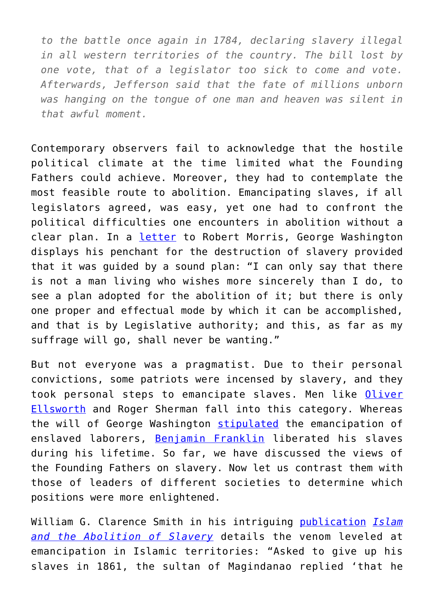*to the battle once again in 1784, declaring slavery illegal in all western territories of the country. The bill lost by one vote, that of a legislator too sick to come and vote. Afterwards, Jefferson said that the fate of millions unborn was hanging on the tongue of one man and heaven was silent in that awful moment.*

Contemporary observers fail to acknowledge that the hostile political climate at the time limited what the Founding Fathers could achieve. Moreover, they had to contemplate the most feasible route to abolition. Emancipating slaves, if all legislators agreed, was easy, yet one had to confront the political difficulties one encounters in abolition without a clear plan. In a *[letter](https://books.google.com.jm/books?id=a8JJAAAAcAAJ&pg=PA159&dq=%22I+hope+it+will+not+be+conceived+from+these+observations,+that+it+is+my+wish+to+hold+the+unhappy+people,+who+are+the+subject+of+this+letter,+in+slavery.+I+can+only+say+that+there+is+not+a+man+living+who+wishes+more+sincerely+than+I+do,+to+see+a+plan+adopted+for+the+abolition+of+it;+but+there+is+only+one+proper+and+effectual+mode+by+which+it+can+be+accomplished,+and+that+is+by+Legislative+authority;+and+this,+as+far+as+my+suffrage+will+go,+shall+never+be+wanting.%22&hl=en&sa=X&ved=2ahUKEwjH97X6nr_sAhWPZd8KHfKmDzEQ6AEwBnoECAYQAg#v=onepage&q=%22I%20hope%20it%20will%20not%20be%20conceived%20from%20these%20observations%2C%20that%20it%20is%20my%20wish%20to%20hold%20the%20unhappy%20people%2C%20who%20are%20the%20subject%20of%20this%20letter%2C%20in%20slavery.%20I%20can%20only%20say%20that%20there%20is%20not%20a%20man%20living%20who%20wishes%20more%20sincerely%20than%20I%20do%2C%20to%20see%20a%20plan%20adopted%20for%20the%20abolition%20of%20it%3B%20but%20there%20is%20only%20one%20proper%20and%20effectual%20mode%20by%20which%20it%20can%20be%20accomplished%2C%20and%20that%20is%20by%20Legislative%20authority%3B%20and%20this%2C%20as%20far%20as%20my%20suffrage%20will%20go%2C%20shall%20never%20be%20wanting.%22&f=false)* to Robert Morris, George Washington displays his penchant for the destruction of slavery provided that it was guided by a sound plan: "I can only say that there is not a man living who wishes more sincerely than I do, to see a plan adopted for the abolition of it; but there is only one proper and effectual mode by which it can be accomplished, and that is by Legislative authority; and this, as far as my suffrage will go, shall never be wanting."

But not everyone was a pragmatist. Due to their personal convictions, some patriots were incensed by slavery, and they took personal steps to emancipate slaves. Men like [Oliver](https://books.google.com.jm/books?id=zlZuBVKT9gQC&q=roger+sherman+never+owned+slaves&dq=roger+sherman+never+owned+slaves&hl=en&sa=X&ved=2ahUKEwj71M_3sL_sAhWGdd8KHcVyD484ChDoATADegQIAxAC) [Ellsworth](https://books.google.com.jm/books?id=zlZuBVKT9gQC&q=roger+sherman+never+owned+slaves&dq=roger+sherman+never+owned+slaves&hl=en&sa=X&ved=2ahUKEwj71M_3sL_sAhWGdd8KHcVyD484ChDoATADegQIAxAC) and Roger Sherman fall into this category. Whereas the will of George Washington [stipulated](https://books.google.com.jm/books?id=L0qGWo_NGlAC&pg=PA110&dq=george+washington+slaves+family+wealth&hl=en&sa=X&ved=2ahUKEwiitvT8sr_sAhXDmuAKHRgHCnoQ6AEwAnoECAMQAg#v=onepage&q=george%20washington%20slaves%20family%20wealth&f=false) the emancipation of enslaved laborers, [Benjamin Franklin](https://books.google.com.jm/books?id=6be4sotwQtwC&pg=PA176&dq=benjamin+franklin+freed+his+slaves&hl=en&sa=X&ved=2ahUKEwi75o21sb_sAhXrmeAKHexaA9kQ6AEwA3oECAAQAg#v=onepage&q=benjamin%20franklin%20freed%20his%20slaves&f=false) liberated his slaves during his lifetime. So far, we have discussed the views of the Founding Fathers on slavery. Now let us contrast them with those of leaders of different societies to determine which positions were more enlightened.

William G. Clarence Smith in his intriguing [publication](https://books.google.com.jm/books?id=ZW9DjTAox6EC&pg=PA124&dq=arabs+refused+to+abolish+slavery&hl=en&sa=X&ved=2ahUKEwiHs6Lo9L7sAhXuwVkKHch9CdsQ6AEwA3oECAAQAg#v=onepage&q=arabs%20refused%20to%20abolish%20slavery&f=false) *[Islam](https://www.amazon.com/gp/product/0195221516/ref=as_li_tl?ie=UTF8&camp=1789&creative=9325&creativeASIN=0195221516&linkCode=as2&tag=intelltakeo0d-20&linkId=3992a8872c9ad7bca9f2cee83c194835) [and the Abolition of Slavery](https://www.amazon.com/gp/product/0195221516/ref=as_li_tl?ie=UTF8&camp=1789&creative=9325&creativeASIN=0195221516&linkCode=as2&tag=intelltakeo0d-20&linkId=3992a8872c9ad7bca9f2cee83c194835)* details the venom leveled at emancipation in Islamic territories: "Asked to give up his slaves in 1861, the sultan of Magindanao replied 'that he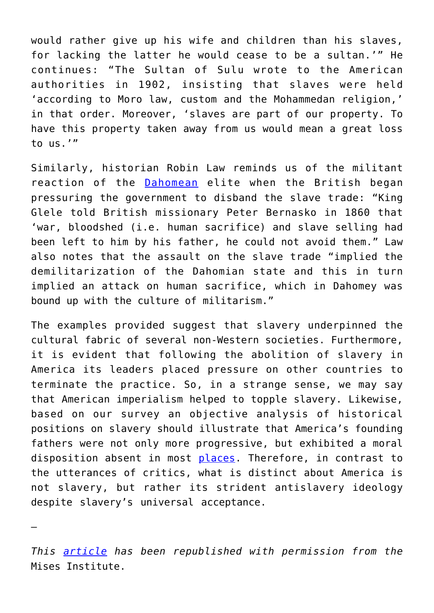would rather give up his wife and children than his slaves, for lacking the latter he would cease to be a sultan.'" He continues: "The Sultan of Sulu wrote to the American authorities in 1902, insisting that slaves were held 'according to Moro law, custom and the Mohammedan religion,' in that order. Moreover, 'slaves are part of our property. To have this property taken away from us would mean a great loss to us.'"

Similarly, historian Robin Law reminds us of the militant reaction of the **[Dahomean](https://dspace.stir.ac.uk/bitstream/1893/280/1/politics-of-commercial-transition.pdf)** elite when the British began pressuring the government to disband the slave trade: "King Glele told British missionary Peter Bernasko in 1860 that 'war, bloodshed (i.e. human sacrifice) and slave selling had been left to him by his father, he could not avoid them." Law also notes that the assault on the slave trade "implied the demilitarization of the Dahomian state and this in turn implied an attack on human sacrifice, which in Dahomey was bound up with the culture of militarism."

The examples provided suggest that slavery underpinned the cultural fabric of several non-Western societies. Furthermore, it is evident that following the abolition of slavery in America its leaders placed pressure on other countries to terminate the practice. So, in a strange sense, we may say that American imperialism helped to topple slavery. Likewise, based on our survey an objective analysis of historical positions on slavery should illustrate that America's founding fathers were not only more progressive, but exhibited a moral disposition absent in most [places.](https://www.amazon.com/Slavery-Arab-World-Murray-Gordon/dp/1561310239) Therefore, in contrast to the utterances of critics, what is distinct about America is not slavery, but rather its strident antislavery ideology despite slavery's universal acceptance.

—

*This [article](https://mises.org/wire/no-american-republic-was-not-founded-slavery) has been republished with permission from the* Mises Institute.